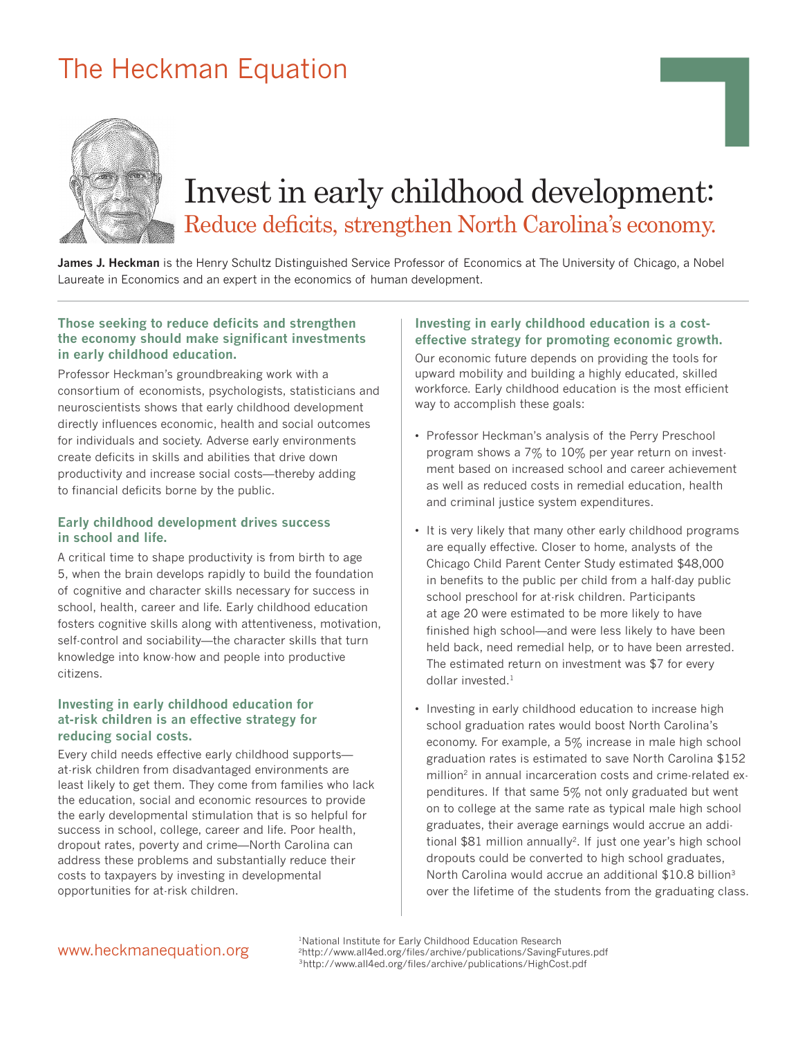## The Heckman Equation



# Invest in early childhood development: Reduce deficits, strengthen North Carolina's economy.

**James J. Heckman** is the Henry Schultz Distinguished Service Professor of Economics at The University of Chicago, a Nobel Laureate in Economics and an expert in the economics of human development.

#### **Those seeking to reduce deficits and strengthen the economy should make significant investments in early childhood education.**

Professor Heckman's groundbreaking work with a consortium of economists, psychologists, statisticians and neuroscientists shows that early childhood development directly influences economic, health and social outcomes for individuals and society. Adverse early environments create deficits in skills and abilities that drive down productivity and increase social costs—thereby adding to financial deficits borne by the public.

#### **Early childhood development drives success in school and life.**

A critical time to shape productivity is from birth to age 5, when the brain develops rapidly to build the foundation of cognitive and character skills necessary for success in school, health, career and life. Early childhood education fosters cognitive skills along with attentiveness, motivation, self-control and sociability—the character skills that turn knowledge into know-how and people into productive citizens.

#### **Investing in early childhood education for at-risk children is an effective strategy for reducing social costs.**

Every child needs effective early childhood supports at-risk children from disadvantaged environments are least likely to get them. They come from families who lack the education, social and economic resources to provide the early developmental stimulation that is so helpful for success in school, college, career and life. Poor health, dropout rates, poverty and crime—North Carolina can address these problems and substantially reduce their costs to taxpayers by investing in developmental opportunities for at-risk children.

#### **Investing in early childhood education is a costeffective strategy for promoting economic growth.**

Our economic future depends on providing the tools for upward mobility and building a highly educated, skilled workforce. Early childhood education is the most efficient way to accomplish these goals:

- Professor Heckman's analysis of the Perry Preschool program shows a 7% to 10% per year return on investment based on increased school and career achievement as well as reduced costs in remedial education, health and criminal justice system expenditures.
- It is very likely that many other early childhood programs are equally effective. Closer to home, analysts of the Chicago Child Parent Center Study estimated \$48,000 in benefits to the public per child from a half-day public school preschool for at-risk children. Participants at age 20 were estimated to be more likely to have finished high school—and were less likely to have been held back, need remedial help, or to have been arrested. The estimated return on investment was \$7 for every dollar invested. $1$
- Investing in early childhood education to increase high school graduation rates would boost North Carolina's economy. For example, a 5% increase in male high school graduation rates is estimated to save North Carolina \$152 million<sup>2</sup> in annual incarceration costs and crime-related expenditures. If that same 5% not only graduated but went on to college at the same rate as typical male high school graduates, their average earnings would accrue an additional \$81 million annually<sup>2</sup>. If just one year's high school dropouts could be converted to high school graduates, North Carolina would accrue an additional \$10.8 billion<sup>3</sup> over the lifetime of the students from the graduating class.

### www.heckmanequation.org

<sup>1</sup>National Institute for Early Childhood Education Research 2http://www.all4ed.org/files/archive/publications/SavingFutures.pdf 3http://www.all4ed.org/files/archive/publications/HighCost.pdf